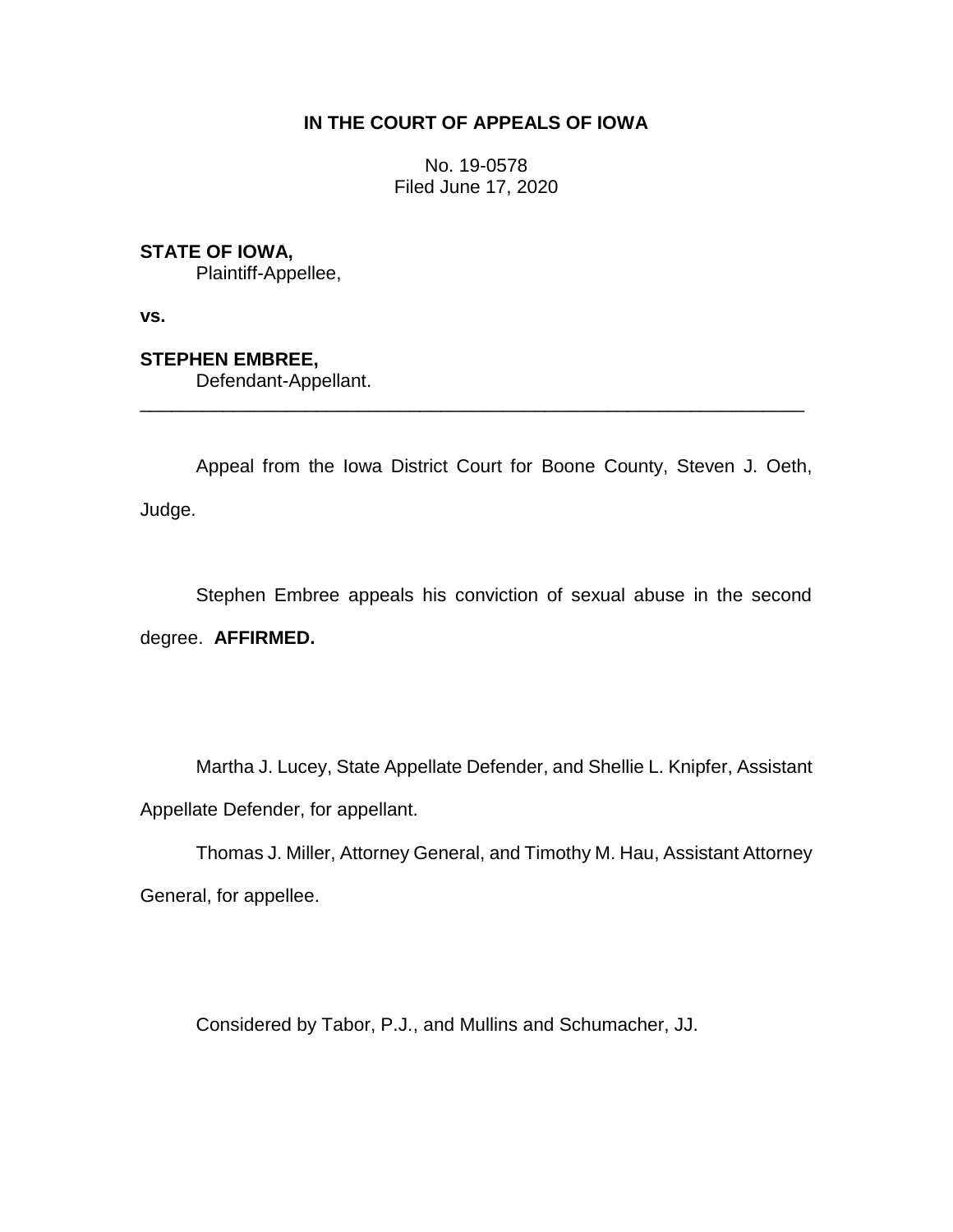## **IN THE COURT OF APPEALS OF IOWA**

No. 19-0578 Filed June 17, 2020

## **STATE OF IOWA,**

Plaintiff-Appellee,

**vs.**

## **STEPHEN EMBREE,**

Defendant-Appellant.

Appeal from the Iowa District Court for Boone County, Steven J. Oeth, Judge.

\_\_\_\_\_\_\_\_\_\_\_\_\_\_\_\_\_\_\_\_\_\_\_\_\_\_\_\_\_\_\_\_\_\_\_\_\_\_\_\_\_\_\_\_\_\_\_\_\_\_\_\_\_\_\_\_\_\_\_\_\_\_\_\_

Stephen Embree appeals his conviction of sexual abuse in the second degree. **AFFIRMED.**

Martha J. Lucey, State Appellate Defender, and Shellie L. Knipfer, Assistant Appellate Defender, for appellant.

Thomas J. Miller, Attorney General, and Timothy M. Hau, Assistant Attorney General, for appellee.

Considered by Tabor, P.J., and Mullins and Schumacher, JJ.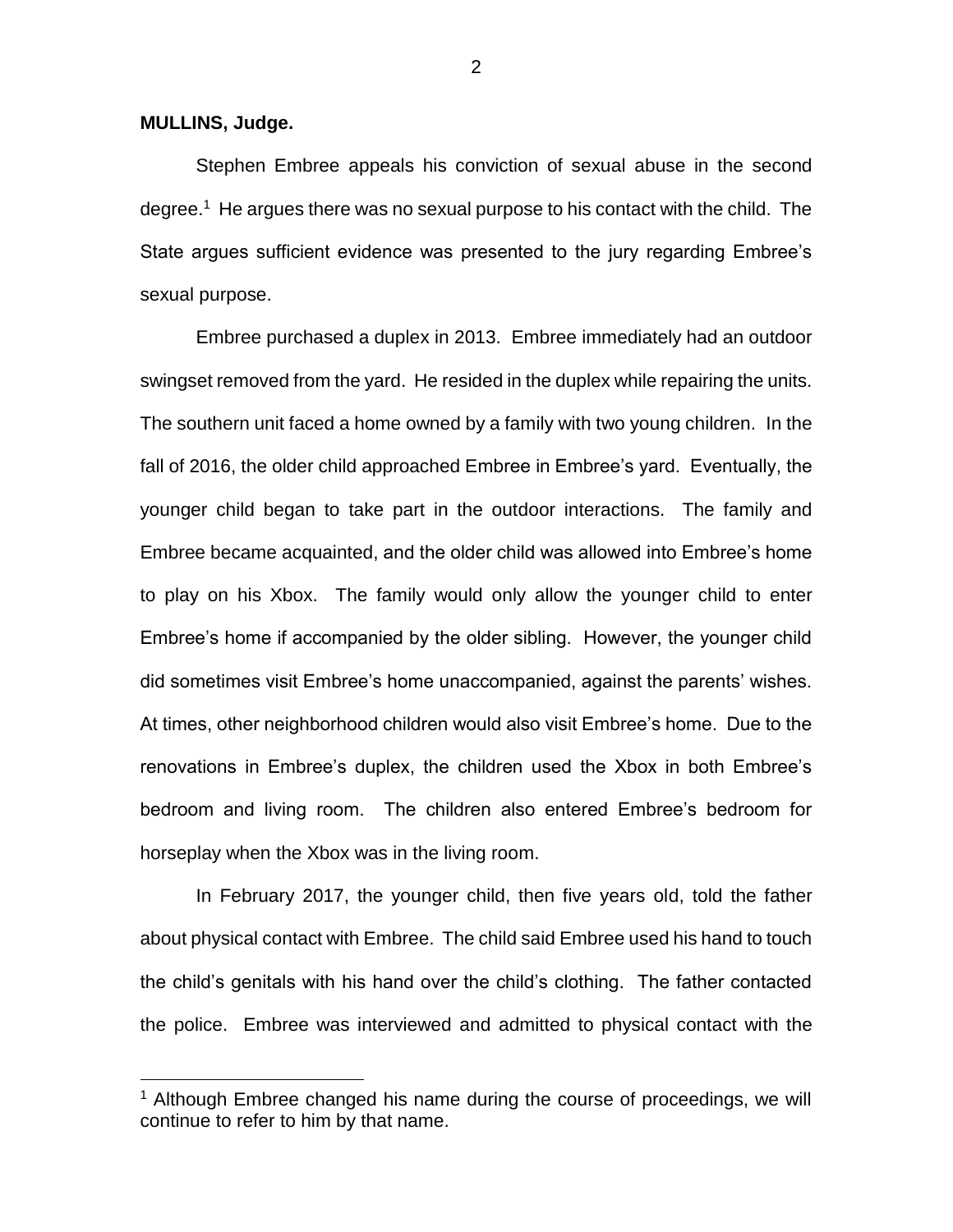**MULLINS, Judge.**

 $\overline{a}$ 

Stephen Embree appeals his conviction of sexual abuse in the second degree. 1 He argues there was no sexual purpose to his contact with the child. The State argues sufficient evidence was presented to the jury regarding Embree's sexual purpose.

Embree purchased a duplex in 2013. Embree immediately had an outdoor swingset removed from the yard. He resided in the duplex while repairing the units. The southern unit faced a home owned by a family with two young children. In the fall of 2016, the older child approached Embree in Embree's yard. Eventually, the younger child began to take part in the outdoor interactions. The family and Embree became acquainted, and the older child was allowed into Embree's home to play on his Xbox. The family would only allow the younger child to enter Embree's home if accompanied by the older sibling. However, the younger child did sometimes visit Embree's home unaccompanied, against the parents' wishes. At times, other neighborhood children would also visit Embree's home. Due to the renovations in Embree's duplex, the children used the Xbox in both Embree's bedroom and living room. The children also entered Embree's bedroom for horseplay when the Xbox was in the living room.

In February 2017, the younger child, then five years old, told the father about physical contact with Embree. The child said Embree used his hand to touch the child's genitals with his hand over the child's clothing. The father contacted the police. Embree was interviewed and admitted to physical contact with the

<sup>&</sup>lt;sup>1</sup> Although Embree changed his name during the course of proceedings, we will continue to refer to him by that name.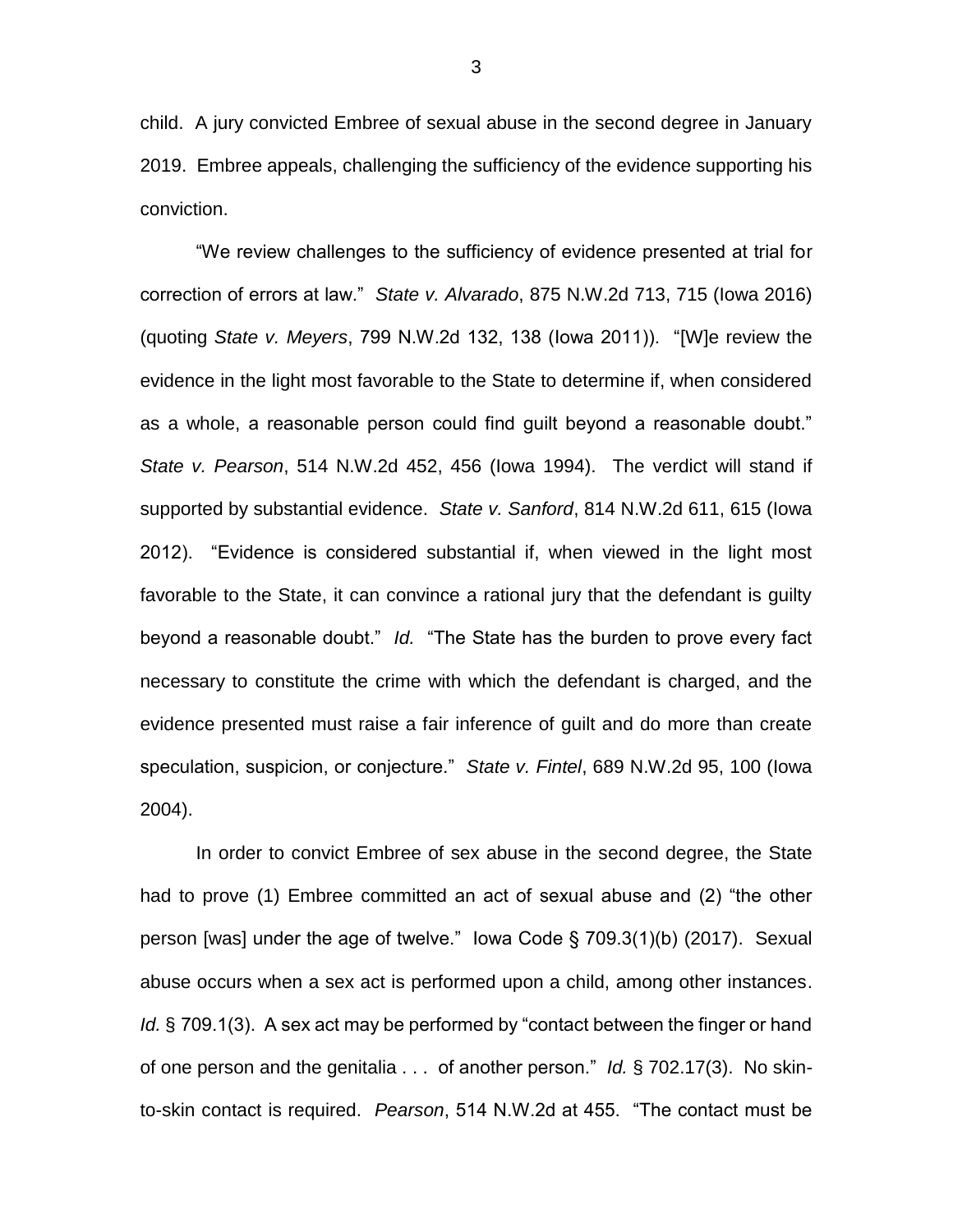child. A jury convicted Embree of sexual abuse in the second degree in January 2019. Embree appeals, challenging the sufficiency of the evidence supporting his conviction.

"We review challenges to the sufficiency of evidence presented at trial for correction of errors at law." *State v. Alvarado*, 875 N.W.2d 713, 715 (Iowa 2016) (quoting *State v. Meyers*, 799 N.W.2d 132, 138 (Iowa 2011)). "[W]e review the evidence in the light most favorable to the State to determine if, when considered as a whole, a reasonable person could find guilt beyond a reasonable doubt." *State v. Pearson*, 514 N.W.2d 452, 456 (Iowa 1994). The verdict will stand if supported by substantial evidence. *State v. Sanford*, 814 N.W.2d 611, 615 (Iowa 2012). "Evidence is considered substantial if, when viewed in the light most favorable to the State, it can convince a rational jury that the defendant is guilty beyond a reasonable doubt." *Id.* "The State has the burden to prove every fact necessary to constitute the crime with which the defendant is charged, and the evidence presented must raise a fair inference of guilt and do more than create speculation, suspicion, or conjecture." *State v. Fintel*, 689 N.W.2d 95, 100 (Iowa 2004).

In order to convict Embree of sex abuse in the second degree, the State had to prove (1) Embree committed an act of sexual abuse and (2) "the other person [was] under the age of twelve." Iowa Code § 709.3(1)(b) (2017). Sexual abuse occurs when a sex act is performed upon a child, among other instances. *Id.* § 709.1(3). A sex act may be performed by "contact between the finger or hand of one person and the genitalia . . . of another person." *Id.* § 702.17(3). No skinto-skin contact is required. *Pearson*, 514 N.W.2d at 455. "The contact must be

3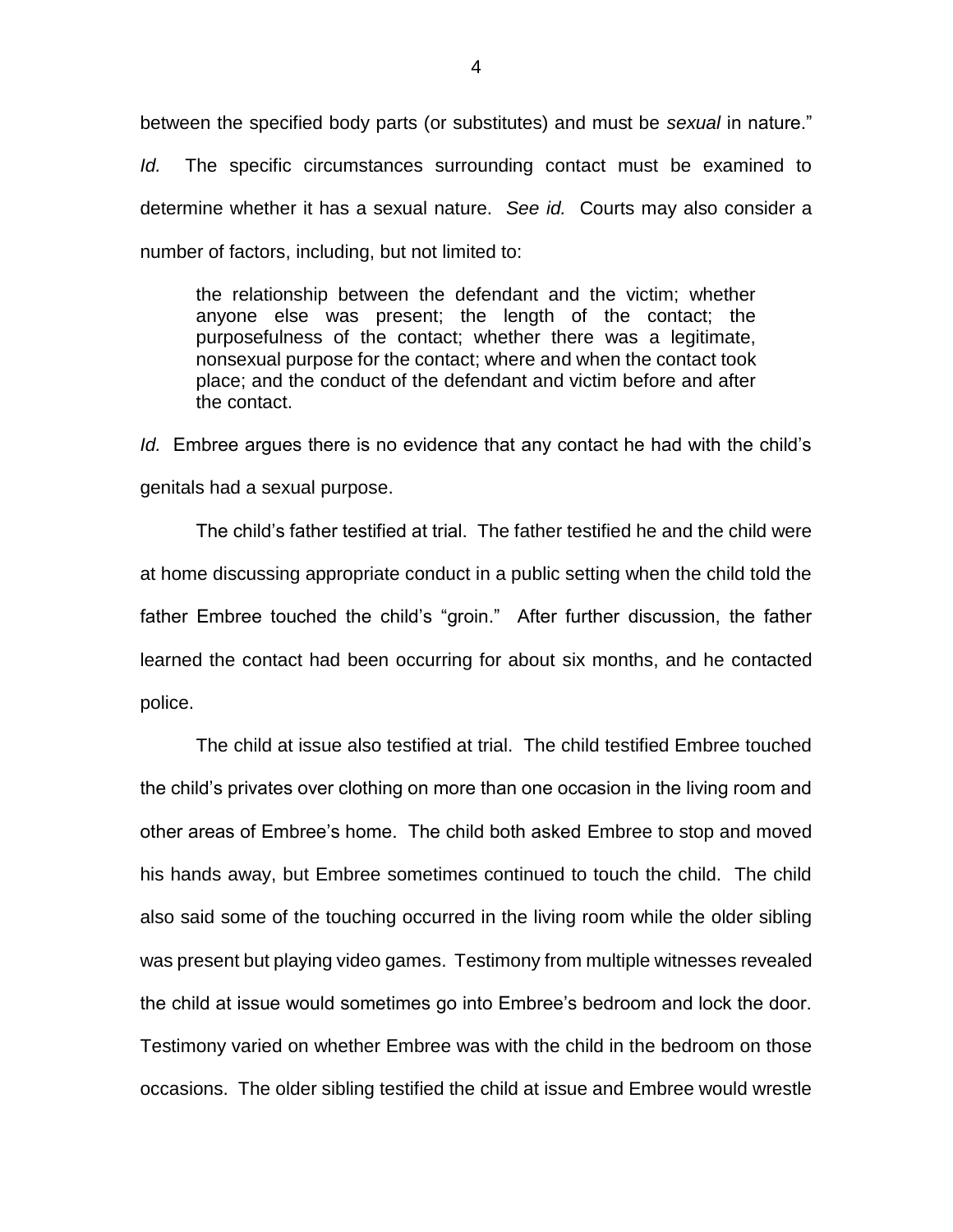between the specified body parts (or substitutes) and must be *sexual* in nature."

*Id.* The specific circumstances surrounding contact must be examined to determine whether it has a sexual nature. *See id.* Courts may also consider a number of factors, including, but not limited to:

the relationship between the defendant and the victim; whether anyone else was present; the length of the contact; the purposefulness of the contact; whether there was a legitimate, nonsexual purpose for the contact; where and when the contact took place; and the conduct of the defendant and victim before and after the contact.

*Id.* Embree argues there is no evidence that any contact he had with the child's genitals had a sexual purpose.

The child's father testified at trial. The father testified he and the child were at home discussing appropriate conduct in a public setting when the child told the father Embree touched the child's "groin." After further discussion, the father learned the contact had been occurring for about six months, and he contacted police.

The child at issue also testified at trial. The child testified Embree touched the child's privates over clothing on more than one occasion in the living room and other areas of Embree's home. The child both asked Embree to stop and moved his hands away, but Embree sometimes continued to touch the child. The child also said some of the touching occurred in the living room while the older sibling was present but playing video games. Testimony from multiple witnesses revealed the child at issue would sometimes go into Embree's bedroom and lock the door. Testimony varied on whether Embree was with the child in the bedroom on those occasions. The older sibling testified the child at issue and Embree would wrestle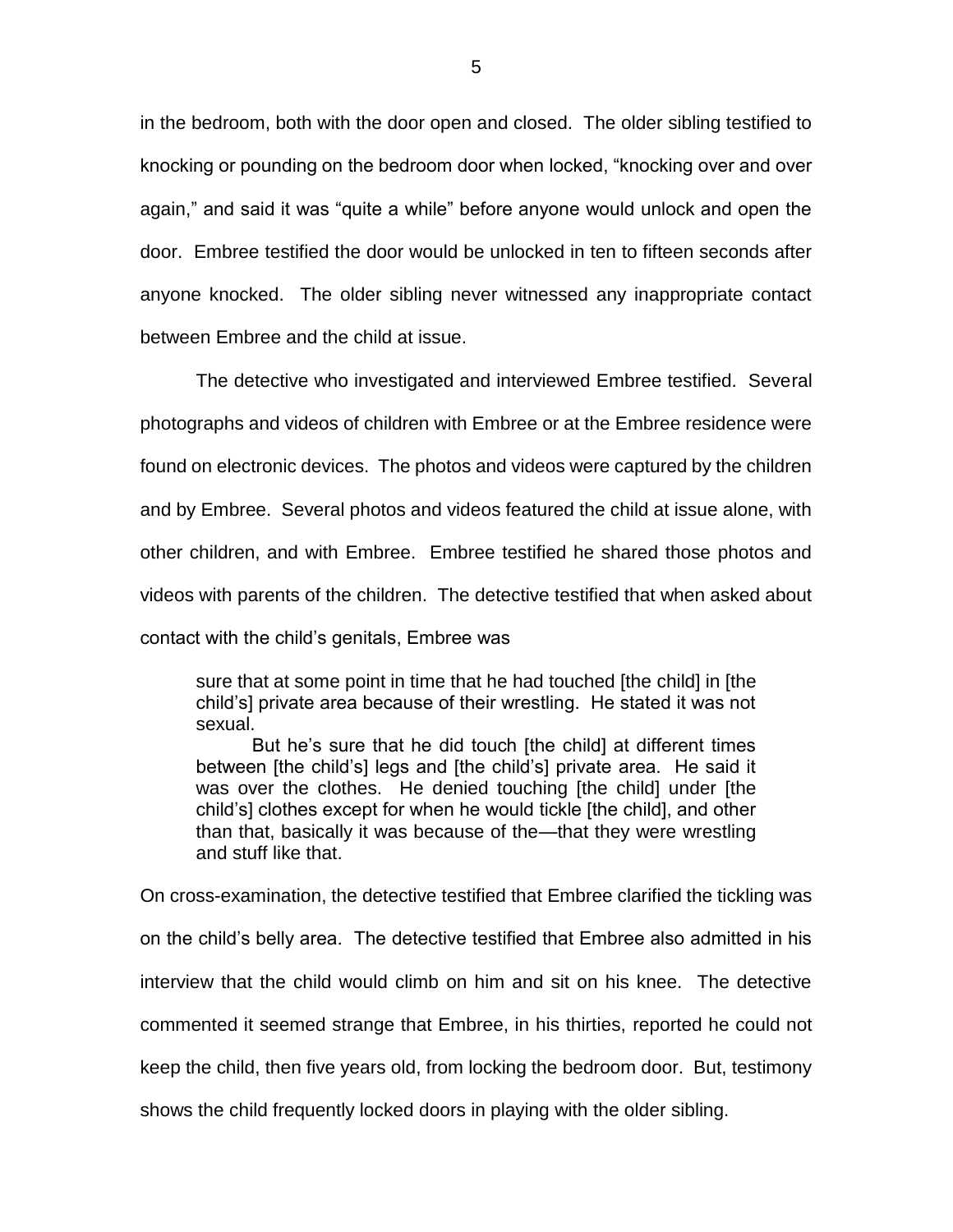in the bedroom, both with the door open and closed. The older sibling testified to knocking or pounding on the bedroom door when locked, "knocking over and over again," and said it was "quite a while" before anyone would unlock and open the door. Embree testified the door would be unlocked in ten to fifteen seconds after anyone knocked. The older sibling never witnessed any inappropriate contact between Embree and the child at issue.

The detective who investigated and interviewed Embree testified. Several photographs and videos of children with Embree or at the Embree residence were found on electronic devices. The photos and videos were captured by the children and by Embree. Several photos and videos featured the child at issue alone, with other children, and with Embree. Embree testified he shared those photos and videos with parents of the children. The detective testified that when asked about contact with the child's genitals, Embree was

sure that at some point in time that he had touched [the child] in [the child's] private area because of their wrestling. He stated it was not sexual.

But he's sure that he did touch [the child] at different times between [the child's] legs and [the child's] private area. He said it was over the clothes. He denied touching [the child] under [the child's] clothes except for when he would tickle [the child], and other than that, basically it was because of the—that they were wrestling and stuff like that.

On cross-examination, the detective testified that Embree clarified the tickling was on the child's belly area. The detective testified that Embree also admitted in his interview that the child would climb on him and sit on his knee. The detective commented it seemed strange that Embree, in his thirties, reported he could not keep the child, then five years old, from locking the bedroom door. But, testimony shows the child frequently locked doors in playing with the older sibling.